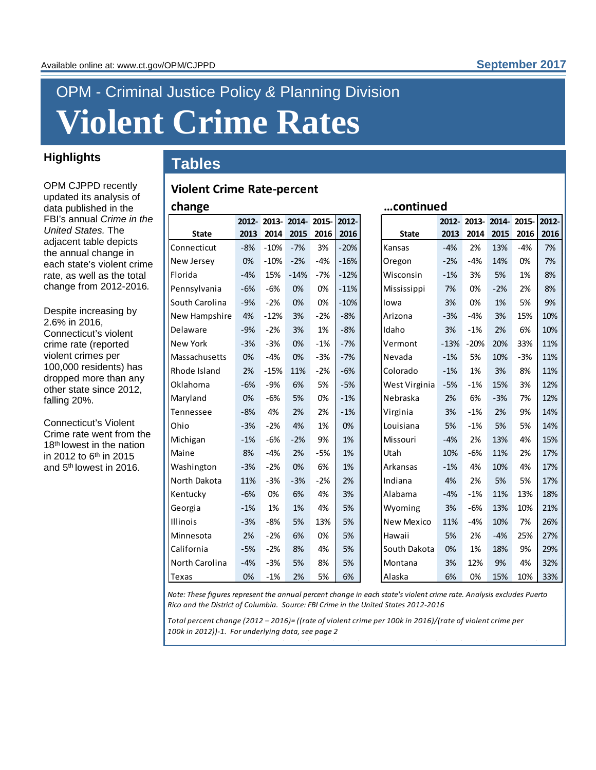## OPM - Criminal Justice Policy *&* Planning Division **Violent Crime Rates**

**Violent Crime Rate-percent** 

## **Tables Highlights**

OPM CJPPD recently updated its analysis of data published in the FBI's annual *Crime in the United States.* The adjacent table depicts the annual change in each state's violent crime rate, as well as the total change from 2012-2016*.*

Despite increasing by 2.6% in 2016, Connecticut's violent crime rate (reported violent crimes per 100,000 residents) has dropped more than any other state since 2012, falling 20%.

Connecticut's Violent Crime rate went from the 18<sup>th</sup> lowest in the nation in 2012 to  $6<sup>th</sup>$  in 2015 and 5th lowest in 2016.

| continued<br>change<br>2012-2013-2014-2015- |       |        |        |                      |        |  |  |  |  |  |
|---------------------------------------------|-------|--------|--------|----------------------|--------|--|--|--|--|--|
|                                             |       |        |        | 2012-2013-2014-2015- | 2012-  |  |  |  |  |  |
| <b>State</b>                                | 2013  | 2014   | 2015   | 2016                 | 2016   |  |  |  |  |  |
| Connecticut                                 | $-8%$ | $-10%$ | $-7%$  | 3%                   | $-20%$ |  |  |  |  |  |
| New Jersey                                  | 0%    | $-10%$ | $-2%$  | $-4%$                | $-16%$ |  |  |  |  |  |
| Florida                                     | $-4%$ | 15%    | $-14%$ | $-7%$                | $-12%$ |  |  |  |  |  |
| Pennsylvania                                | $-6%$ | $-6%$  | 0%     | 0%                   | $-11%$ |  |  |  |  |  |
| South Carolina                              | $-9%$ | $-2%$  | 0%     | 0%                   | $-10%$ |  |  |  |  |  |
| New Hampshire                               | 4%    | $-12%$ | 3%     | $-2%$                | $-8%$  |  |  |  |  |  |
| Delaware                                    | $-9%$ | $-2%$  | 3%     | 1%                   | $-8%$  |  |  |  |  |  |
| <b>New York</b>                             | $-3%$ | $-3%$  | 0%     | $-1%$                | $-7%$  |  |  |  |  |  |
| Massachusetts                               | 0%    | $-4%$  | 0%     | $-3%$                | $-7%$  |  |  |  |  |  |
| Rhode Island                                | 2%    | $-15%$ | 11%    | $-2%$                | $-6%$  |  |  |  |  |  |
| Oklahoma                                    | $-6%$ | $-9%$  | 6%     | 5%                   | $-5%$  |  |  |  |  |  |
| Maryland                                    | 0%    | $-6%$  | 5%     | 0%                   | $-1%$  |  |  |  |  |  |
| Tennessee                                   | $-8%$ | 4%     | 2%     | 2%                   | $-1%$  |  |  |  |  |  |
| Ohio                                        | $-3%$ | $-2%$  | 4%     | 1%                   | 0%     |  |  |  |  |  |
| Michigan                                    | $-1%$ | $-6%$  | $-2%$  | 9%                   | 1%     |  |  |  |  |  |
| Maine                                       | 8%    | $-4%$  | 2%     | $-5%$                | 1%     |  |  |  |  |  |
| Washington                                  | $-3%$ | $-2%$  | 0%     | 6%                   | 1%     |  |  |  |  |  |
| North Dakota                                | 11%   | $-3%$  | $-3%$  | $-2%$                | 2%     |  |  |  |  |  |
| Kentucky                                    | $-6%$ | 0%     | 6%     | 4%                   | 3%     |  |  |  |  |  |
| Georgia                                     | $-1%$ | 1%     | 1%     | 4%                   | 5%     |  |  |  |  |  |
| <b>Illinois</b>                             | $-3%$ | $-8%$  | 5%     | 13%                  | 5%     |  |  |  |  |  |
| Minnesota                                   | 2%    | $-2%$  | 6%     | 0%                   | 5%     |  |  |  |  |  |
| California                                  | $-5%$ | $-2%$  | 8%     | 4%                   | 5%     |  |  |  |  |  |
| North Carolina                              | $-4%$ | $-3%$  | 5%     | 8%                   | 5%     |  |  |  |  |  |
| Texas                                       | 0%    | $-1%$  | 2%     | 5%                   | 6%     |  |  |  |  |  |

|        | continued     |          |        |       |       |       |  |  |  |  |
|--------|---------------|----------|--------|-------|-------|-------|--|--|--|--|
| 2012-  |               | $2012 -$ | 2013-  | 2014- | 2015- | 2012- |  |  |  |  |
| 2016   | <b>State</b>  | 2013     | 2014   | 2015  | 2016  | 2016  |  |  |  |  |
| $-20%$ | Kansas        | $-4%$    | 2%     | 13%   | -4%   | 7%    |  |  |  |  |
| $-16%$ | Oregon        | $-2%$    | -4%    | 14%   | 0%    | 7%    |  |  |  |  |
| $-12%$ | Wisconsin     | $-1%$    | 3%     | 5%    | 1%    | 8%    |  |  |  |  |
| $-11%$ | Mississippi   | 7%       | 0%     | $-2%$ | 2%    | 8%    |  |  |  |  |
| -10%   | lowa          | 3%       | 0%     | 1%    | 5%    | 9%    |  |  |  |  |
| $-8%$  | Arizona       | $-3%$    | -4%    | 3%    | 15%   | 10%   |  |  |  |  |
| $-8%$  | Idaho         | 3%       | $-1%$  | 2%    | 6%    | 10%   |  |  |  |  |
| $-7%$  | Vermont       | $-13%$   | $-20%$ | 20%   | 33%   | 11%   |  |  |  |  |
| $-7%$  | Nevada        | $-1%$    | 5%     | 10%   | $-3%$ | 11%   |  |  |  |  |
| $-6%$  | Colorado      | $-1%$    | 1%     | 3%    | 8%    | 11%   |  |  |  |  |
| $-5%$  | West Virginia | -5%      | -1%    | 15%   | 3%    | 12%   |  |  |  |  |
| $-1%$  | Nebraska      | 2%       | 6%     | $-3%$ | 7%    | 12%   |  |  |  |  |
| $-1%$  | Virginia      | 3%       | $-1%$  | 2%    | 9%    | 14%   |  |  |  |  |
| 0%     | Louisiana     | 5%       | $-1%$  | 5%    | 5%    | 14%   |  |  |  |  |
| 1%     | Missouri      | $-4%$    | 2%     | 13%   | 4%    | 15%   |  |  |  |  |
| 1%     | Utah          | 10%      | -6%    | 11%   | 2%    | 17%   |  |  |  |  |
| 1%     | Arkansas      | $-1%$    | 4%     | 10%   | 4%    | 17%   |  |  |  |  |
| 2%     | Indiana       | 4%       | 2%     | 5%    | 5%    | 17%   |  |  |  |  |
| 3%     | Alabama       | $-4%$    | -1%    | 11%   | 13%   | 18%   |  |  |  |  |
| 5%     | Wyoming       | 3%       | $-6%$  | 13%   | 10%   | 21%   |  |  |  |  |
| 5%     | New Mexico    | 11%      | -4%    | 10%   | 7%    | 26%   |  |  |  |  |
| 5%     | Hawaii        | 5%       | 2%     | -4%   | 25%   | 27%   |  |  |  |  |
| 5%     | South Dakota  | 0%       | 1%     | 18%   | 9%    | 29%   |  |  |  |  |
| 5%     | Montana       | 3%       | 12%    | 9%    | 4%    | 32%   |  |  |  |  |
| 6%     | Alaska        | 6%       | 0%     | 15%   | 10%   | 33%   |  |  |  |  |

*Note: These figures represent the annual percent change in each state's violent crime rate. Analysis excludes Puerto Rico and the District of Columbia. Source: FBI Crime in the United States 2012-2016*

*Total percent change (2012 – 2016)= ((rate of violent crime per 100k in 2016)/(rate of violent crime per 100k in 2012))-1. For underlying data, see page 2*